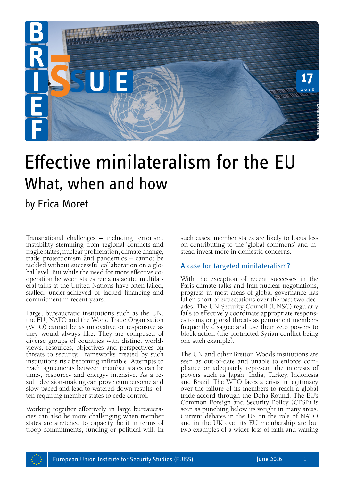

# Effective minilateralism for the EU What, when and how

## by Erica Moret

Transnational challenges – including terrorism, instability stemming from regional conflicts and fragile states, nuclear proliferation, climate change, trade protectionism and pandemics – cannot be tackled without successful collaboration on a global level. But while the need for more effective cooperation between states remains acute, multilateral talks at the United Nations have often failed, stalled, under-achieved or lacked financing and commitment in recent years.

Large, bureaucratic institutions such as the UN, the EU, NATO and the World Trade Organisation (WTO) cannot be as innovative or responsive as they would always like. They are composed of diverse groups of countries with distinct worldviews, resources, objectives and perspectives on threats to security. Frameworks created by such institutions risk becoming inflexible. Attempts to reach agreements between member states can be time-, resource- and energy- intensive. As a result, decision-making can prove cumbersome and slow-paced and lead to watered-down results, often requiring member states to cede control.

Working together effectively in large bureaucracies can also be more challenging when member states are stretched to capacity, be it in terms of troop commitments, funding or political will. In such cases, member states are likely to focus less on contributing to the 'global commons' and instead invest more in domestic concerns.

#### A case for targeted minilateralism?

With the exception of recent successes in the Paris climate talks and Iran nuclear negotiations, progress in most areas of global governance has fallen short of expectations over the past two decades. The UN Security Council (UNSC) regularly fails to effectively coordinate appropriate responses to major global threats as permanent members frequently disagree and use their veto powers to block action (the protracted Syrian conflict being one such example).

The UN and other Bretton Woods institutions are seen as out-of-date and unable to enforce compliance or adequately represent the interests of powers such as Japan, India, Turkey, Indonesia and Brazil. The WTO faces a crisis in legitimacy over the failure of its members to reach a global trade accord through the Doha Round. The EU's Common Foreign and Security Policy (CFSP) is seen as punching below its weight in many areas. Current debates in the US on the role of NATO and in the UK over its EU membership are but **Sometic Sometic State of the CLA with the SC sometime in the section of a more in domestic concerns.**<br>A case for targeted minilateralism?<br>A case for targeted minilateralism?<br>With the exception of recent successes in the p

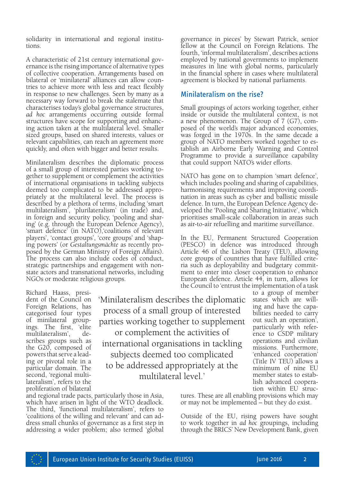solidarity in international and regional institutions.

A characteristic of 21st century international gov- ernance is the rising importance of alternative types of collective cooperation. Arrangements based on bilateral or 'minilateral' alliances can allow coun- tries to achieve more with less and react flexibly in response to new challenges. Seen by many as a necessary way forward to break the stalemate that characterises today's global governance structures, *ad hoc* arrangements occurring outside formal structures have scope for supporting and enhanc- ing action taken at the multilateral level. Smaller sized groups, based on shared interests, values or relevant capabilities, can reach an agreement more quickly, and often with bigger and better results.

Minilateralism describes the diplomatic process of a small group of interested parties working to- gether to supplement or complement the activities of international organisations in tackling subjects deemed too complicated to be addressed appro- priately at the multilateral level. The process is described by a plethora of terms, including 'smart multilateralism', 'plurilateralism' (in trade) and, in foreign and security policy, 'pooling and shar- ing' (e.g. through the European Defence Agency), 'smart defence' (in NATO),'coalitions of relevant players', 'contact groups', 'core groups' and 'shap-<br>ing powers' (or *Gestaltungsmächte* as recently pro-<br>posed by the German Ministry of Foreign Affairs). The process can also include codes of conduct, strategic partnerships and engagement with nonstate actors and transnational networks, including NGOs or moderate religious groups.

Richard Haass, presi- dent of the Council on Foreign Relations, has categorised four types of minilateral group-<br>ings. The first, 'elite<br>multilateralism'. demultilateralism', scribes groups such as the G20, composed of powers that serve a leading or pivotal role in a particular domain. The second, 'regional multilateralism', refers to the proliferation of bilateral

'Minilateralism describes the diplomatic process of a small group of interested parties working together to supplement or complement the activities of international organisations in tackling subjects deemed too complicated to be addressed appropriately at the multilateral level.'

and regional trade pacts, particularly those in Asia, which have arisen in light of the WTO deadlock. The third, 'functional multilateralism', refers to 'coalitions of the willing and relevant' and can address small chunks of governance as a first step in addressing a wider problem; also termed 'global

governance in pieces' by Stewart Patrick, senior fellow at the Council on Foreign Relations. The fourth, 'informal multilateralism', describes actions employed by national governments to implement measures in line with global norms, particularly in the financial sphere in cases where multilateral agreement is blocked by national parliaments.

### Minilateralism on the rise?

Small groupings of actors working together, either inside or outside the multilateral context, is not a new phenomenon. The Group of 7 (G7), composed of the world's major advanced economies, was forged in the 1970s. In the same decade a group of NATO members worked together to establish an Airborne Early Warning and Control Programme to provide a surveillance capability that could support NATO's wider efforts.

NATO has gone on to champion 'smart defence', which includes pooling and sharing of capabilities, harmonising requirements and improving coordination in areas such as cyber and ballistic missile defence. In turn, the European Defence Agency developed the 'Pooling and Sharing Initiative', which prioritises small-scale collaboration in areas such as air-to-air refuelling and maritime surveillance.

In the EU, Permanent Structured Cooperation (PESCO) in defence was introduced through Article 46 of the Lisbon Treaty (TEU), allowing core groups of countries that have fulfilled critement to enter into closer cooperation to enhance European defence. Article 44, in turn, allows for the Council to 'entrust the implementation of a task

> to a group of member states which are will-<br>ing and have the capa-<br>bilities needed to carry out such an operation', particularly with refer- ence to CSDP military operations and civilian missions. Furthermore, 'enhanced cooperation' (Title IV TEU) allows a minimum of nine EU member states to establish advanced cooperation within EU struc-

tures. These are all enabling provisions which may or may not be implemented – but they do exist.

Outside of the EU, rising powers have sought to work together in *ad hoc* groupings, including through the BRICS' New Development Bank, given

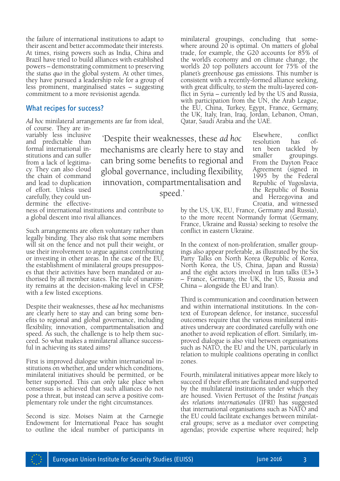the failure of international institutions to adapt to their ascent and better accommodate their interests. At times, rising powers such as India, China and Brazil have tried to build alliances with established powers – demonstrating commitment to preserving the *status quo* in the global system. At other times, they have pursued a leadership role for a group of less prominent, marginalised states – suggesting commitment to a more revisionist agenda.

#### What recipes for success?

*Ad hoc* minilateral arrangements are far from ideal,

of course. They are invariably less inclusive and predictable than formal international institutions and can suffer from a lack of legitimacy. They can also cloud the chain of command and lead to duplication of effort. Unless used carefully, they could undermine the effective-

'Despite their weaknesses, these *ad hoc* mechanisms are clearly here to stay and can bring some benefits to regional and global governance, including flexibility, innovation, compartmentalisation and speed.'

ness of international institutions and contribute to a global descent into rival alliances.

Such arrangements are often voluntary rather than legally binding. They also risk that some members will sit on the fence and not pull their weight, or use their involvement to argue against contributing or investing in other areas. In the case of the EU, the establishment of minilateral groups presuppos es that their activities have been mandated or authorised by all member states. The rule of unanimity remains at the decision-making level in CFSP, with a few listed exceptions.

Despite their weaknesses, these *ad hoc* mechanisms are clearly here to stay and can bring some benefits to regional and global governance, including flexibility, innovation, compartmentalisation and speed. As such, the challenge is to help them suc ceed. So what makes a minilateral alliance successful in achieving its stated aims?

First is improved dialogue within international in stitutions on whether, and under which conditions, minilateral initiatives should be permitted, or be better supported. This can only take place when consensus is achieved that such alliances do not pose a threat, but instead can serve a positive complementary role under the right circumstances.

Second is size. Moises Naim at the Carnegie Endowment for International Peace has sought to outline the ideal number of participants in minilateral groupings, concluding that some where around 20 is optimal. On matters of global trade, for example, the G20 accounts for 85% of the world's economy and on climate change, the world's 20 top polluters account for 75% of the planet's greenhouse gas emissions. This number is consistent with a recently-formed alliance seeking, with great difficulty, to stem the multi-layered conflict in Syria – currently led by the US and Russia, with participation from the UN, the Arab League, the EU, China, Turkey, Egypt, France, Germany, the UK, Italy, Iran, Iraq, Jordan, Lebanon, Oman, Qatar, Saudi Arabia and the UAE.

> Elsewhere, conflict resolution has often been tackled by smaller groupings. From the Dayton Peace Agreement (signed in 1995 by the Federal Republic of Yugoslavia, the Republic of Bosnia and Herzegovina and Croatia, and witnessed

by the US, UK, EU, France, Germany and Russia), to the more recent Normandy format (Germany, France, Ukraine and Russia) seeking to resolve the conflict in eastern Ukraine.

In the context of non-proliferation, smaller groupings also appear preferable, as illustrated by the Six Party Talks on North Korea (Republic of Korea, North Korea, the US, China, Japan and Russia) and the eight actors involved in Iran talks (E3+3 – France, Germany, the UK, the US, Russia and China – alongside the EU and Iran).

Third is communication and coordination between and within international institutions. In the con text of European defence, for instance, successful outcomes require that the various minilateral initiatives underway are coordinated carefully with one another to avoid replication of effort. Similarly, im proved dialogue is also vital between organisations such as NATO, the EU and the UN, particularly in relation to multiple coalitions operating in conflict zones.

Fourth, minilateral initiatives appear more likely to succeed if their efforts are facilitated and supported by the multilateral institutions under which they are housed. Vivien Pertusot of the *Institut français des relations internationales* (IFRI) has suggested that international organisations such as NATO and<br>the EU could facilitate exchanges between minilateral groups; serve as a mediator over competing agendas; provide expertise where required; help